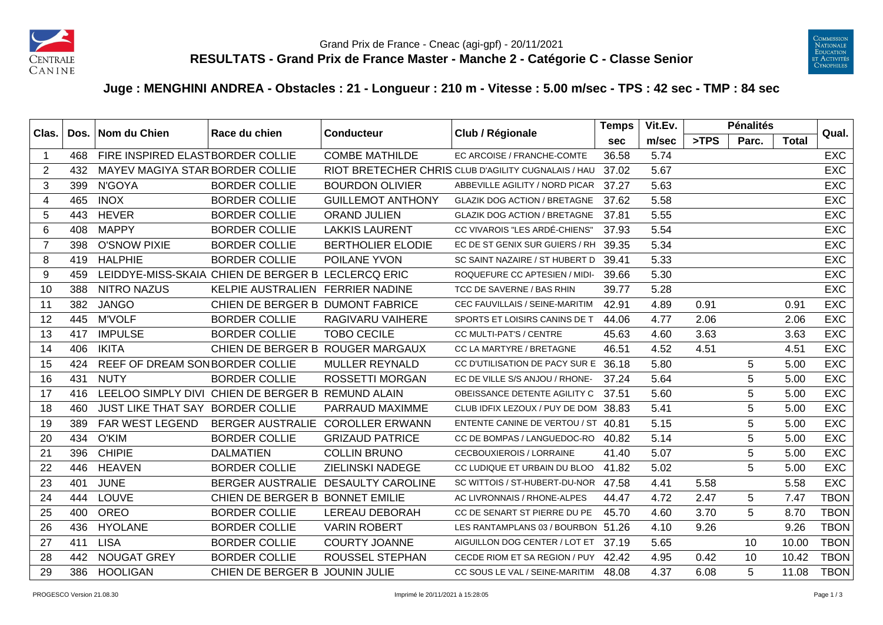



## **Juge : MENGHINI ANDREA - Obstacles : 21 - Longueur : 210 m - Vitesse : 5.00 m/sec - TPS : 42 sec - TMP : 84 sec**

| Clas.          |     | Dos.   Nom du Chien              | Race du chien                                      | <b>Conducteur</b>                  | Club / Régionale                                    | <b>Temps</b> | Vit.Ev. |      | <b>Pénalités</b> |              | Qual.       |
|----------------|-----|----------------------------------|----------------------------------------------------|------------------------------------|-----------------------------------------------------|--------------|---------|------|------------------|--------------|-------------|
|                |     |                                  |                                                    |                                    |                                                     | <b>sec</b>   | m/sec   | >TPS | Parc.            | <b>Total</b> |             |
| -1             | 468 | FIRE INSPIRED ELASTBORDER COLLIE |                                                    | <b>COMBE MATHILDE</b>              | EC ARCOISE / FRANCHE-COMTE                          | 36.58        | 5.74    |      |                  |              | <b>EXC</b>  |
| 2              | 432 | MAYEV MAGIYA STAR BORDER COLLIE  |                                                    |                                    | RIOT BRETECHER CHRIS CLUB D'AGILITY CUGNALAIS / HAU | 37.02        | 5.67    |      |                  |              | <b>EXC</b>  |
| 3              | 399 | N'GOYA                           | <b>BORDER COLLIE</b>                               | <b>BOURDON OLIVIER</b>             | ABBEVILLE AGILITY / NORD PICAR                      | 37.27        | 5.63    |      |                  |              | <b>EXC</b>  |
| $\overline{4}$ | 465 | <b>INOX</b>                      | <b>BORDER COLLIE</b>                               | <b>GUILLEMOT ANTHONY</b>           | <b>GLAZIK DOG ACTION / BRETAGNE</b>                 | 37.62        | 5.58    |      |                  |              | <b>EXC</b>  |
| 5              | 443 | <b>HEVER</b>                     | <b>BORDER COLLIE</b>                               | <b>ORAND JULIEN</b>                | <b>GLAZIK DOG ACTION / BRETAGNE</b>                 | 37.81        | 5.55    |      |                  |              | <b>EXC</b>  |
| 6              | 408 | <b>MAPPY</b>                     | <b>BORDER COLLIE</b>                               | <b>LAKKIS LAURENT</b>              | CC VIVAROIS "LES ARDÉ-CHIENS"                       | 37.93        | 5.54    |      |                  |              | <b>EXC</b>  |
| $\overline{7}$ | 398 | <b>O'SNOW PIXIE</b>              | <b>BORDER COLLIE</b>                               | <b>BERTHOLIER ELODIE</b>           | EC DE ST GENIX SUR GUIERS / RH                      | 39.35        | 5.34    |      |                  |              | <b>EXC</b>  |
| 8              | 419 | <b>HALPHIE</b>                   | <b>BORDER COLLIE</b>                               | POILANE YVON                       | SC SAINT NAZAIRE / ST HUBERT D                      | 39.41        | 5.33    |      |                  |              | <b>EXC</b>  |
| 9              | 459 |                                  | LEIDDYE-MISS-SKAIA CHIEN DE BERGER B LECLERCQ ERIC |                                    | ROQUEFURE CC APTESIEN / MIDI-                       | 39.66        | 5.30    |      |                  |              | <b>EXC</b>  |
| 10             | 388 | <b>NITRO NAZUS</b>               | KELPIE AUSTRALIEN FERRIER NADINE                   |                                    | TCC DE SAVERNE / BAS RHIN                           | 39.77        | 5.28    |      |                  |              | <b>EXC</b>  |
| 11             | 382 | <b>JANGO</b>                     | CHIEN DE BERGER B DUMONT FABRICE                   |                                    | CEC FAUVILLAIS / SEINE-MARITIM                      | 42.91        | 4.89    | 0.91 |                  | 0.91         | <b>EXC</b>  |
| 12             | 445 | <b>M'VOLF</b>                    | <b>BORDER COLLIE</b>                               | RAGIVARU VAIHERE                   | SPORTS ET LOISIRS CANINS DE T                       | 44.06        | 4.77    | 2.06 |                  | 2.06         | <b>EXC</b>  |
| 13             | 417 | <b>IMPULSE</b>                   | <b>BORDER COLLIE</b>                               | <b>TOBO CECILE</b>                 | CC MULTI-PAT'S / CENTRE                             | 45.63        | 4.60    | 3.63 |                  | 3.63         | <b>EXC</b>  |
| 14             | 406 | <b>IKITA</b>                     | CHIEN DE BERGER B ROUGER MARGAUX                   |                                    | CC LA MARTYRE / BRETAGNE                            | 46.51        | 4.52    | 4.51 |                  | 4.51         | <b>EXC</b>  |
| 15             | 424 | REEF OF DREAM SONBORDER COLLIE   |                                                    | <b>MULLER REYNALD</b>              | CC D'UTILISATION DE PACY SUR E                      | 36.18        | 5.80    |      | 5                | 5.00         | <b>EXC</b>  |
| 16             | 431 | <b>NUTY</b>                      | <b>BORDER COLLIE</b>                               | <b>ROSSETTI MORGAN</b>             | EC DE VILLE S/S ANJOU / RHONE-                      | 37.24        | 5.64    |      | $\overline{5}$   | 5.00         | <b>EXC</b>  |
| 17             | 416 |                                  | LEELOO SIMPLY DIVI CHIEN DE BERGER B REMUND ALAIN  |                                    | OBEISSANCE DETENTE AGILITY C                        | 37.51        | 5.60    |      | 5                | 5.00         | <b>EXC</b>  |
| 18             | 460 | JUST LIKE THAT SAY BORDER COLLIE |                                                    | PARRAUD MAXIMME                    | CLUB IDFIX LEZOUX / PUY DE DOM                      | 38.83        | 5.41    |      | 5                | 5.00         | <b>EXC</b>  |
| 19             | 389 | FAR WEST LEGEND                  | <b>BERGER AUSTRALIE</b>                            | <b>COROLLER ERWANN</b>             | ENTENTE CANINE DE VERTOU / ST 40.81                 |              | 5.15    |      | 5                | 5.00         | <b>EXC</b>  |
| 20             | 434 | O'KIM                            | <b>BORDER COLLIE</b>                               | <b>GRIZAUD PATRICE</b>             | CC DE BOMPAS / LANGUEDOC-RO                         | 40.82        | 5.14    |      | 5                | 5.00         | <b>EXC</b>  |
| 21             | 396 | <b>CHIPIE</b>                    | <b>DALMATIEN</b>                                   | <b>COLLIN BRUNO</b>                | <b>CECBOUXIEROIS / LORRAINE</b>                     | 41.40        | 5.07    |      | $\overline{5}$   | 5.00         | <b>EXC</b>  |
| 22             | 446 | <b>HEAVEN</b>                    | <b>BORDER COLLIE</b>                               | <b>ZIELINSKI NADEGE</b>            | CC LUDIQUE ET URBAIN DU BLOO                        | 41.82        | 5.02    |      | 5                | 5.00         | <b>EXC</b>  |
| 23             | 401 | <b>JUNE</b>                      |                                                    | BERGER AUSTRALIE DESAULTY CAROLINE | SC WITTOIS / ST-HUBERT-DU-NOR                       | 47.58        | 4.41    | 5.58 |                  | 5.58         | <b>EXC</b>  |
| 24             | 444 | <b>LOUVE</b>                     | CHIEN DE BERGER B BONNET EMILIE                    |                                    | AC LIVRONNAIS / RHONE-ALPES                         | 44.47        | 4.72    | 2.47 | 5                | 7.47         | <b>TBON</b> |
| 25             | 400 | <b>OREO</b>                      | <b>BORDER COLLIE</b>                               | <b>LEREAU DEBORAH</b>              | CC DE SENART ST PIERRE DU PE                        | 45.70        | 4.60    | 3.70 | 5                | 8.70         | <b>TBON</b> |
| 26             | 436 | <b>HYOLANE</b>                   | <b>BORDER COLLIE</b>                               | <b>VARIN ROBERT</b>                | LES RANTAMPLANS 03 / BOURBON 51.26                  |              | 4.10    | 9.26 |                  | 9.26         | <b>TBON</b> |
| 27             | 411 | <b>LISA</b>                      | <b>BORDER COLLIE</b>                               | <b>COURTY JOANNE</b>               | AIGUILLON DOG CENTER / LOT ET                       | 37.19        | 5.65    |      | 10               | 10.00        | <b>TBON</b> |
| 28             | 442 | <b>NOUGAT GREY</b>               | <b>BORDER COLLIE</b>                               | <b>ROUSSEL STEPHAN</b>             | CECDE RIOM ET SA REGION / PUY                       | 42.42        | 4.95    | 0.42 | 10               | 10.42        | <b>TBON</b> |
| 29             | 386 | <b>HOOLIGAN</b>                  | CHIEN DE BERGER B JOUNIN JULIE                     |                                    | CC SOUS LE VAL / SEINE-MARITIM 48.08                |              | 4.37    | 6.08 | 5                | 11.08        | TBON        |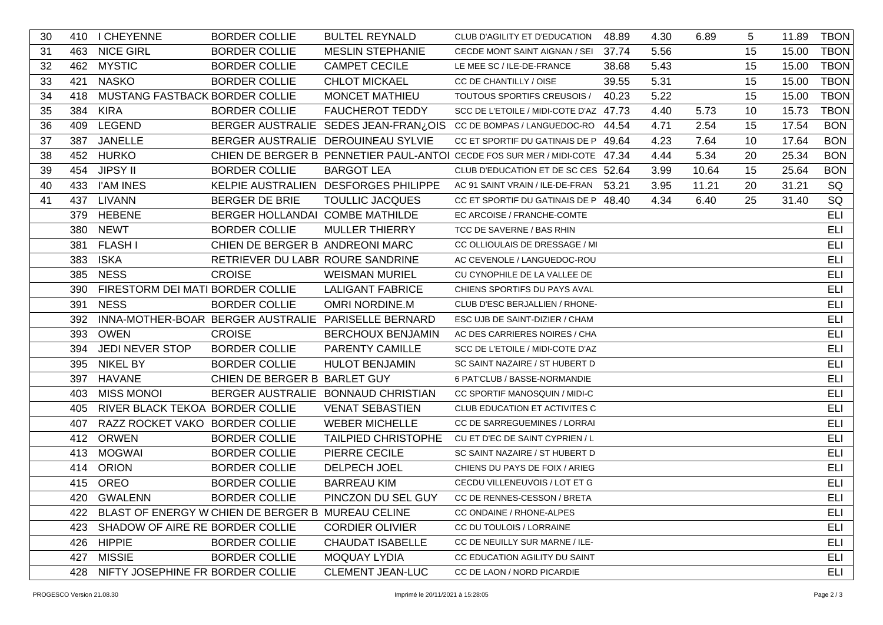| 30 |     | 410 I CHEYENNE                       | <b>BORDER COLLIE</b>                                  | <b>BULTEL REYNALD</b>                               | CLUB D'AGILITY ET D'EDUCATION                                              | 48.89 | 4.30 | 6.89  | 5  | 11.89 | <b>TBON</b> |
|----|-----|--------------------------------------|-------------------------------------------------------|-----------------------------------------------------|----------------------------------------------------------------------------|-------|------|-------|----|-------|-------------|
| 31 |     | 463 NICE GIRL                        | <b>BORDER COLLIE</b>                                  | <b>MESLIN STEPHANIE</b>                             | CECDE MONT SAINT AIGNAN / SEI 37.74                                        |       | 5.56 |       | 15 | 15.00 | <b>TBON</b> |
| 32 |     | 462 MYSTIC                           | <b>BORDER COLLIE</b>                                  | <b>CAMPET CECILE</b>                                | LE MEE SC / ILE-DE-FRANCE                                                  | 38.68 | 5.43 |       | 15 | 15.00 | <b>TBON</b> |
| 33 | 421 | <b>NASKO</b>                         | <b>BORDER COLLIE</b>                                  | <b>CHLOT MICKAEL</b>                                | CC DE CHANTILLY / OISE                                                     | 39.55 | 5.31 |       | 15 | 15.00 | <b>TBON</b> |
| 34 | 418 | MUSTANG FASTBACK BORDER COLLIE       |                                                       | MONCET MATHIEU                                      | TOUTOUS SPORTIFS CREUSOIS /                                                | 40.23 | 5.22 |       | 15 | 15.00 | <b>TBON</b> |
| 35 |     | 384 KIRA                             | <b>BORDER COLLIE</b>                                  | <b>FAUCHEROT TEDDY</b>                              | SCC DE L'ETOILE / MIDI-COTE D'AZ 47.73                                     |       | 4.40 | 5.73  | 10 | 15.73 | <b>TBON</b> |
| 36 |     | 409 LEGEND                           |                                                       |                                                     | BERGER AUSTRALIE SEDES JEAN-FRAN¿OIS CC DE BOMPAS / LANGUEDOC-RO 44.54     |       | 4.71 | 2.54  | 15 | 17.54 | <b>BON</b>  |
| 37 | 387 | JANELLE                              |                                                       | BERGER AUSTRALIE DEROUINEAU SYLVIE                  | CC ET SPORTIF DU GATINAIS DE P 49.64                                       |       | 4.23 | 7.64  | 10 | 17.64 | <b>BON</b>  |
| 38 |     | 452 HURKO                            |                                                       |                                                     | CHIEN DE BERGER B PENNETIER PAUL-ANTOI CECDE FOS SUR MER / MIDI-COTE 47.34 |       | 4.44 | 5.34  | 20 | 25.34 | <b>BON</b>  |
| 39 | 454 | <b>JIPSY II</b>                      | <b>BORDER COLLIE</b>                                  | <b>BARGOT LEA</b>                                   | CLUB D'EDUCATION ET DE SC CES 52.64                                        |       | 3.99 | 10.64 | 15 | 25.64 | <b>BON</b>  |
| 40 |     | 433 I'AM INES                        |                                                       | KELPIE AUSTRALIEN DESFORGES PHILIPPE                | AC 91 SAINT VRAIN / ILE-DE-FRAN 53.21                                      |       | 3.95 | 11.21 | 20 | 31.21 | SQ          |
| 41 |     | 437 LIVANN                           | <b>BERGER DE BRIE</b>                                 | <b>TOULLIC JACQUES</b>                              | CC ET SPORTIF DU GATINAIS DE P 48.40                                       |       | 4.34 | 6.40  | 25 | 31.40 | SQ          |
|    |     | 379 HEBENE                           | BERGER HOLLANDAI COMBE MATHILDE                       |                                                     | EC ARCOISE / FRANCHE-COMTE                                                 |       |      |       |    |       | ELI         |
|    |     | 380 NEWT                             | <b>BORDER COLLIE</b>                                  | <b>MULLER THIERRY</b>                               | TCC DE SAVERNE / BAS RHIN                                                  |       |      |       |    |       | <b>ELI</b>  |
|    | 381 | <b>FLASH I</b>                       | CHIEN DE BERGER B ANDREONI MARC                       |                                                     | CC OLLIOULAIS DE DRESSAGE / MI                                             |       |      |       |    |       | ELI         |
|    | 383 | <b>ISKA</b>                          | RETRIEVER DU LABR ROURE SANDRINE                      |                                                     | AC CEVENOLE / LANGUEDOC-ROU                                                |       |      |       |    |       | ELI         |
|    |     | 385 NESS                             | <b>CROISE</b>                                         | <b>WEISMAN MURIEL</b>                               | CU CYNOPHILE DE LA VALLEE DE                                               |       |      |       |    |       | ELI         |
|    |     | 390 FIRESTORM DEI MATI BORDER COLLIE |                                                       | <b>LALIGANT FABRICE</b>                             | CHIENS SPORTIFS DU PAYS AVAL                                               |       |      |       |    |       | ELI         |
|    |     | 391 NESS                             | <b>BORDER COLLIE</b>                                  | <b>OMRI NORDINE.M</b>                               | CLUB D'ESC BERJALLIEN / RHONE-                                             |       |      |       |    |       | <b>ELI</b>  |
|    | 392 |                                      |                                                       | INNA-MOTHER-BOAR BERGER AUSTRALIE PARISELLE BERNARD | ESC UJB DE SAINT-DIZIER / CHAM                                             |       |      |       |    |       | ELI         |
|    |     | 393 OWEN                             | <b>CROISE</b>                                         | <b>BERCHOUX BENJAMIN</b>                            | AC DES CARRIERES NOIRES / CHA                                              |       |      |       |    |       | ELI         |
|    |     | 394 JEDI NEVER STOP                  | <b>BORDER COLLIE</b>                                  | PARENTY CAMILLE                                     | SCC DE L'ETOILE / MIDI-COTE D'AZ                                           |       |      |       |    |       | ELI         |
|    |     | 395 NIKEL BY                         | <b>BORDER COLLIE</b>                                  | <b>HULOT BENJAMIN</b>                               | SC SAINT NAZAIRE / ST HUBERT D                                             |       |      |       |    |       | ELI         |
|    |     | 397 HAVANE                           | CHIEN DE BERGER B BARLET GUY                          |                                                     | 6 PAT'CLUB / BASSE-NORMANDIE                                               |       |      |       |    |       | ELI         |
|    |     | 403 MISS MONOI                       |                                                       | BERGER AUSTRALIE BONNAUD CHRISTIAN                  | CC SPORTIF MANOSQUIN / MIDI-C                                              |       |      |       |    |       | <b>ELI</b>  |
|    | 405 | RIVER BLACK TEKOA BORDER COLLIE      |                                                       | <b>VENAT SEBASTIEN</b>                              | CLUB EDUCATION ET ACTIVITES C                                              |       |      |       |    |       | ELI         |
|    | 407 | RAZZ ROCKET VAKO BORDER COLLIE       |                                                       | <b>WEBER MICHELLE</b>                               | CC DE SARREGUEMINES / LORRAI                                               |       |      |       |    |       | ELI         |
|    |     | 412 ORWEN                            | <b>BORDER COLLIE</b>                                  |                                                     | TAILPIED CHRISTOPHE CU ET D'EC DE SAINT CYPRIEN / L                        |       |      |       |    |       | <b>ELI</b>  |
|    |     | 413 MOGWAI                           | <b>BORDER COLLIE</b>                                  | PIERRE CECILE                                       | SC SAINT NAZAIRE / ST HUBERT D                                             |       |      |       |    |       | ELI         |
|    |     | 414 ORION                            | <b>BORDER COLLIE</b>                                  | DELPECH JOEL                                        | CHIENS DU PAYS DE FOIX / ARIEG                                             |       |      |       |    |       | ELI         |
|    |     | 415 OREO                             | <b>BORDER COLLIE</b>                                  | <b>BARREAU KIM</b>                                  | CECDU VILLENEUVOIS / LOT ET G                                              |       |      |       |    |       | ELI         |
|    |     | 420 GWALENN                          | <b>BORDER COLLIE</b>                                  | PINCZON DU SEL GUY                                  | CC DE RENNES-CESSON / BRETA                                                |       |      |       |    |       | ELI         |
|    |     |                                      | 422 BLAST OF ENERGY W CHIEN DE BERGER B MUREAU CELINE |                                                     | CC ONDAINE / RHONE-ALPES                                                   |       |      |       |    |       | ELI         |
|    |     | 423 SHADOW OF AIRE RE BORDER COLLIE  |                                                       | <b>CORDIER OLIVIER</b>                              | CC DU TOULOIS / LORRAINE                                                   |       |      |       |    |       | ELI         |
|    |     | 426 HIPPIE                           | <b>BORDER COLLIE</b>                                  | <b>CHAUDAT ISABELLE</b>                             | CC DE NEUILLY SUR MARNE / ILE-                                             |       |      |       |    |       | ELI         |
|    |     | 427 MISSIE                           | <b>BORDER COLLIE</b>                                  | <b>MOQUAY LYDIA</b>                                 | CC EDUCATION AGILITY DU SAINT                                              |       |      |       |    |       | ELI         |
|    |     | 428 NIFTY JOSEPHINE FR BORDER COLLIE |                                                       | <b>CLEMENT JEAN-LUC</b>                             | CC DE LAON / NORD PICARDIE                                                 |       |      |       |    |       | ELI         |